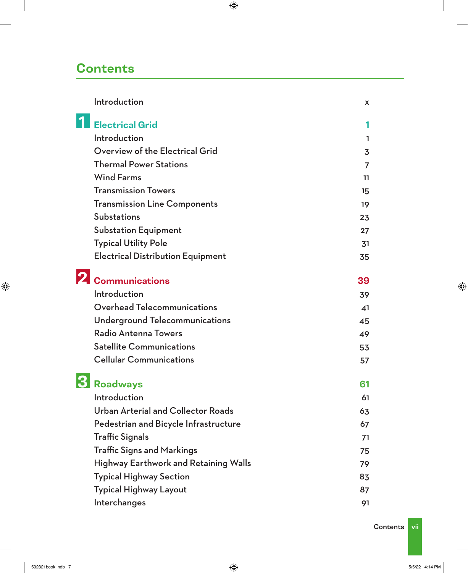## **Contents**

| Introduction                                 | <b>X</b>       |
|----------------------------------------------|----------------|
| <b>Electrical Grid</b>                       | 1              |
| Introduction                                 | L              |
| Overview of the Electrical Grid              | $\overline{3}$ |
| <b>Thermal Power Stations</b>                | 7              |
| <b>Wind Farms</b>                            | 11             |
| <b>Transmission Towers</b>                   | 15             |
| <b>Transmission Line Components</b>          | 19             |
| <b>Substations</b>                           | 23             |
| <b>Substation Equipment</b>                  | 27             |
| <b>Typical Utility Pole</b>                  | 31             |
| <b>Electrical Distribution Equipment</b>     | 35             |
| <b>Communications</b>                        | 39             |
| Introduction                                 | 39             |
| Overhead Telecommunications                  | 41             |
| Underground Telecommunications               | 45             |
| Radio Antenna Towers                         | 49             |
| <b>Satellite Communications</b>              | 53             |
| <b>Cellular Communications</b>               | 57             |
| <b>Roadways</b>                              | 61             |
| Introduction                                 | 61             |
| <b>Urban Arterial and Collector Roads</b>    | 63             |
| Pedestrian and Bicycle Infrastructure        | 67             |
| <b>Traffic Signals</b>                       | 71             |
| <b>Traffic Signs and Markings</b>            | 75             |
| <b>Highway Earthwork and Retaining Walls</b> | 79             |
| <b>Typical Highway Section</b>               | 83             |
| <b>Typical Highway Layout</b>                | 87             |
| Interchanges                                 | 91             |
|                                              |                |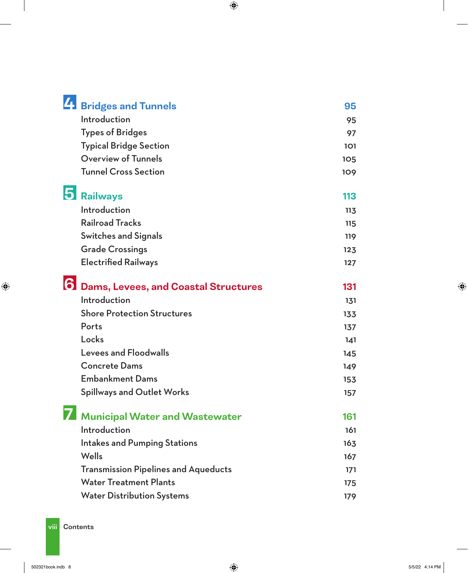|    | <sup>7</sup> Bridges and Tunnels            | 95  |
|----|---------------------------------------------|-----|
|    | Introduction                                | 95  |
|    | <b>Types of Bridges</b>                     | 97  |
|    | <b>Typical Bridge Section</b>               | 101 |
|    | <b>Overview of Tunnels</b>                  | 105 |
|    | <b>Tunnel Cross Section</b>                 | 109 |
|    | <b>Railways</b>                             | 113 |
|    | Introduction                                | 113 |
|    | <b>Railroad Tracks</b>                      | 115 |
|    | <b>Switches and Signals</b>                 | 119 |
|    | <b>Grade Crossings</b>                      | 123 |
|    | <b>Electrified Railways</b>                 | 127 |
| 61 | <b>Dams, Levees, and Coastal Structures</b> | 131 |
|    | Introduction                                | 131 |
|    | <b>Shore Protection Structures</b>          | 133 |
|    | Ports                                       | 137 |
|    | Locks                                       | 141 |
|    | <b>Levees and Floodwalls</b>                | 145 |
|    | <b>Concrete Dams</b>                        | 149 |
|    | <b>Embankment Dams</b>                      | 153 |
|    | <b>Spillways and Outlet Works</b>           | 157 |
|    | <b>Municipal Water and Wastewater</b>       | 161 |
|    | Introduction                                | 161 |
|    | <b>Intakes and Pumping Stations</b>         | 163 |
|    | Wells                                       | 167 |
|    | <b>Transmission Pipelines and Aqueducts</b> | 171 |
|    | <b>Water Treatment Plants</b>               | 175 |
|    | <b>Water Distribution Systems</b>           | 179 |